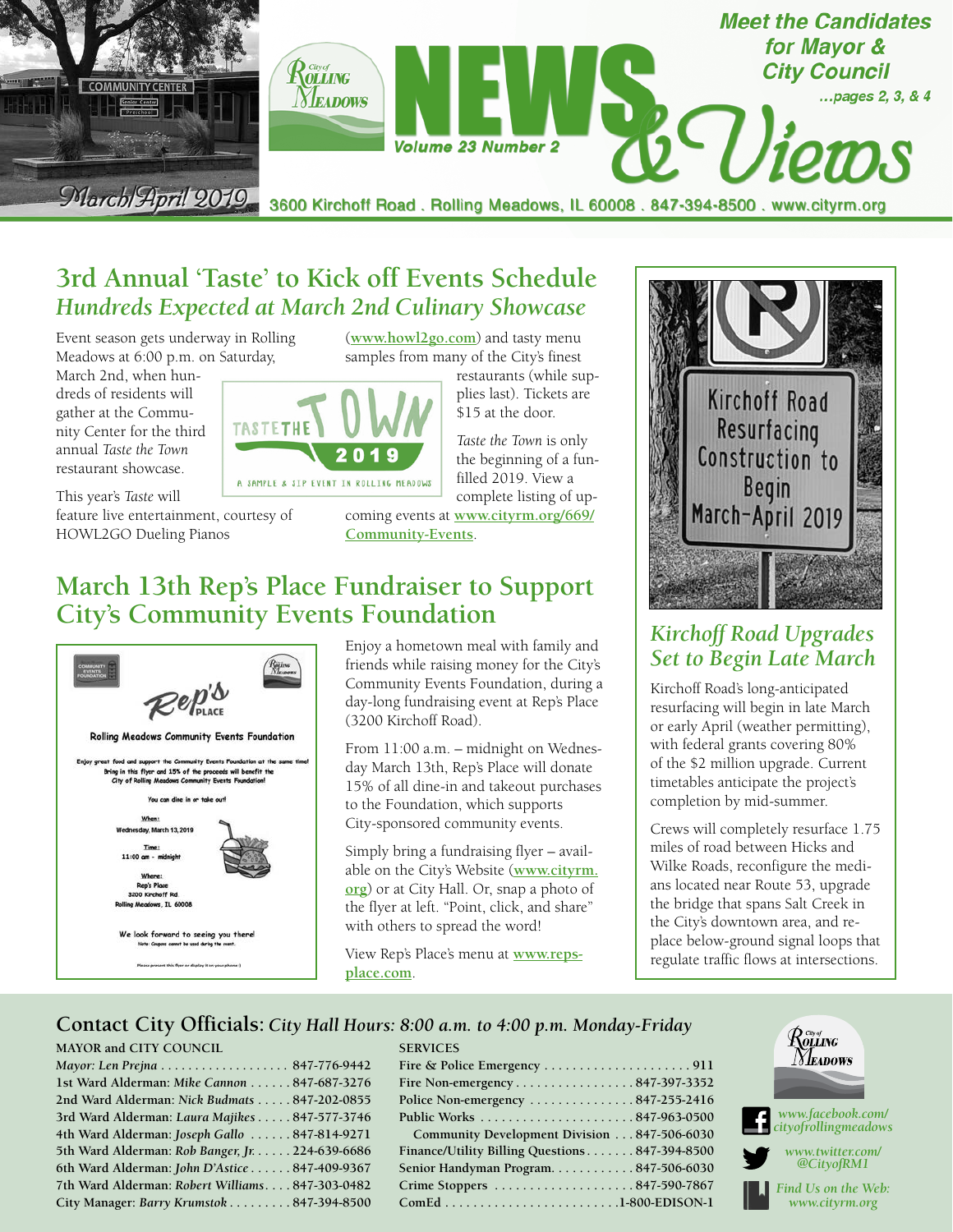

## **3rd Annual 'Taste' to Kick off Events Schedule** *Hundreds Expected at March 2nd Culinary Showcase*

**TASTETHE** 

Event season gets underway in Rolling Meadows at 6:00 p.m. on Saturday,

March 2nd, when hundreds of residents will gather at the Community Center for the third annual *Taste the Town* restaurant showcase.

A SAMPLE & SIP EVENT IN ROLLING MEADOWS This year's *Taste* will feature live entertainment, courtesy of HOWL2GO Dueling Pianos

(**[www.howl2go.com](http://www.howl2go.com)**) and tasty menu samples from many of the City's finest

restaurants (while supplies last). Tickets are \$15 at the door.

*Taste the Town* is only the beginning of a funfilled 2019. View a complete listing of up-

coming events at **[www.cityrm.org/669/](http://www.cityrm.org/669/Community-Events) [Community-Events](http://www.cityrm.org/669/Community-Events)**.

## **March 13th Rep's Place Fundraiser to Support City's Community Events Foundation**

201



Enjoy a hometown meal with family and friends while raising money for the City's Community Events Foundation, during a day-long fundraising event at Rep's Place (3200 Kirchoff Road).

From 11:00 a.m. – midnight on Wednesday March 13th, Rep's Place will donate 15% of all dine-in and takeout purchases to the Foundation, which supports City-sponsored community events.

Simply bring a fundraising flyer – available on the City's Website (**[www.cityrm.](http://www.cityrm.org) [org](http://www.cityrm.org)**) or at City Hall. Or, snap a photo of the flyer at left. "Point, click, and share" with others to spread the word!

View Rep's Place's menu at **[www.reps](http://www.repsplace.com)[place.com](http://www.repsplace.com)**.

**SERVICES**



## *Kirchoff Road Upgrades Set to Begin Late March*

Kirchoff Road's long-anticipated resurfacing will begin in late March or early April (weather permitting), with federal grants covering 80% of the \$2 million upgrade. Current timetables anticipate the project's completion by mid-summer.

Crews will completely resurface 1.75 miles of road between Hicks and Wilke Roads, reconfigure the medians located near Route 53, upgrade the bridge that spans Salt Creek in the City's downtown area, and replace below-ground signal loops that regulate traffic flows at intersections.

### **Contact City Officials:** *City Hall Hours: 8:00 a.m. to 4:00 p.m. Monday-Friday*

### **MAYOR and CITY COUNCIL**

| Mayor: Len Prejna 847-776-9442                  |  |
|-------------------------------------------------|--|
| 1st Ward Alderman: Mike Cannon  847-687-3276    |  |
| 2nd Ward Alderman: Nick Budmats 847-202-0855    |  |
| 3rd Ward Alderman: Laura Majikes 847-577-3746   |  |
| 4th Ward Alderman: Joseph Gallo 847-814-9271    |  |
| 5th Ward Alderman: Rob Banger, Jr. 224-639-6686 |  |
| 6th Ward Alderman: John D'Astice  847-409-9367  |  |
| 7th Ward Alderman: Robert Williams847-303-0482  |  |
| City Manager: Barry Krumstok 847-394-8500       |  |

| ---------                                                |  |
|----------------------------------------------------------|--|
|                                                          |  |
| Fire Non-emergency847-397-3352                           |  |
| Police Non-emergency $\dots\dots\dots\dots 847-255-2416$ |  |
|                                                          |  |
| Community Development Division 847-506-6030              |  |
| Finance/Utility Billing Questions847-394-8500            |  |
| Senior Handyman Program847-506-6030                      |  |
|                                                          |  |
| $ComEd$ 1-800-EDISON-1                                   |  |

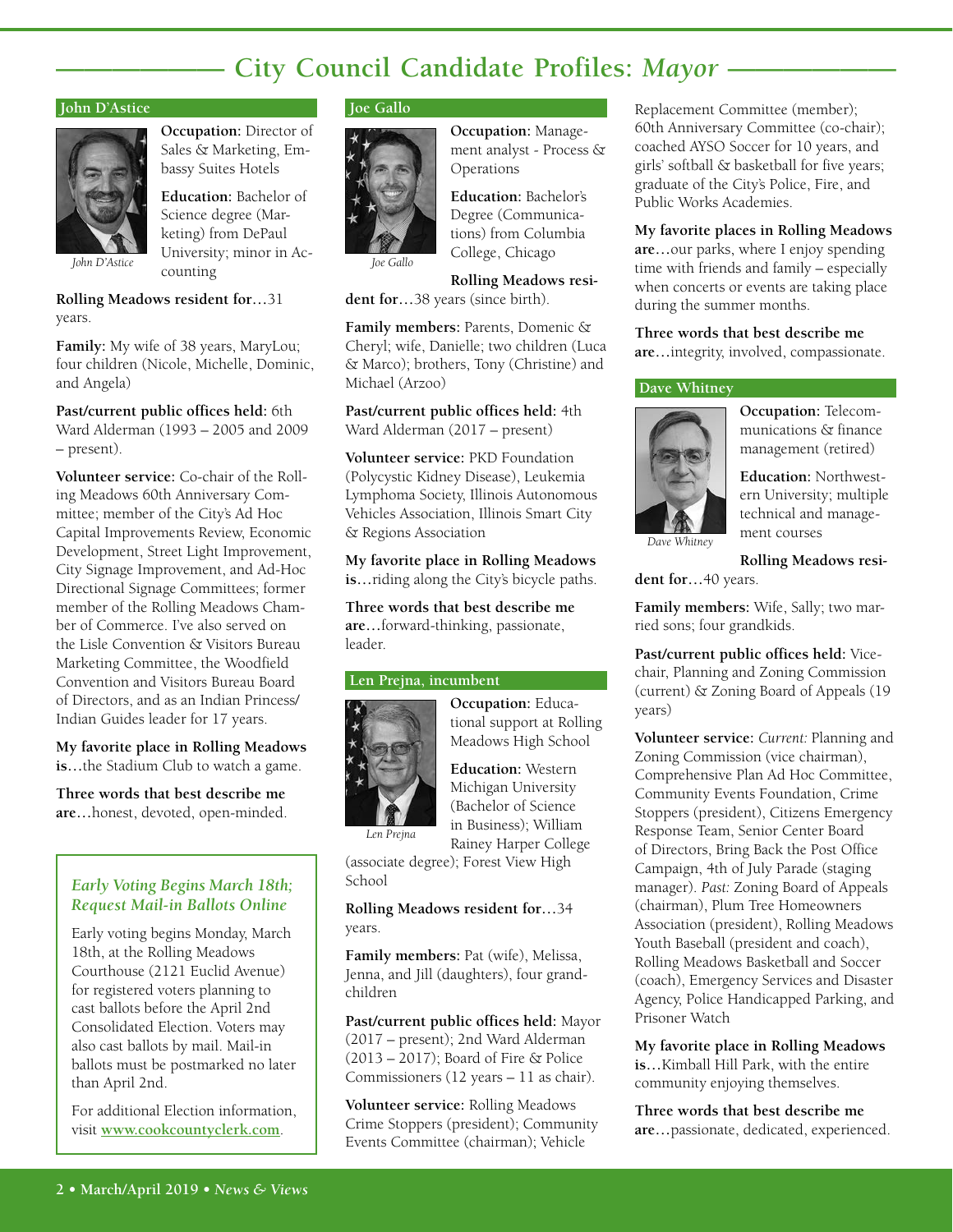## **- City Council Candidate Profiles: Mayor -**

#### **John D'Astice**



**Occupation:** Director of Sales & Marketing, Embassy Suites Hotels

**Education:** Bachelor of Science degree (Marketing) from DePaul University; minor in Accounting

**Rolling Meadows resident for…**31 years.

**Family:** My wife of 38 years, MaryLou; four children (Nicole, Michelle, Dominic, and Angela)

**Past/current public offices held:** 6th Ward Alderman (1993 – 2005 and 2009 – present).

**Volunteer service:** Co-chair of the Rolling Meadows 60th Anniversary Committee; member of the City's Ad Hoc Capital Improvements Review, Economic Development, Street Light Improvement, City Signage Improvement, and Ad-Hoc Directional Signage Committees; former member of the Rolling Meadows Chamber of Commerce. I've also served on the Lisle Convention & Visitors Bureau Marketing Committee, the Woodfield Convention and Visitors Bureau Board of Directors, and as an Indian Princess/ Indian Guides leader for 17 years.

**My favorite place in Rolling Meadows is…**the Stadium Club to watch a game.

**Three words that best describe me are…**honest, devoted, open-minded.

### *Early Voting Begins March 18th; Request Mail-in Ballots Online*

Early voting begins Monday, March 18th, at the Rolling Meadows Courthouse (2121 Euclid Avenue) for registered voters planning to cast ballots before the April 2nd Consolidated Election. Voters may also cast ballots by mail. Mail-in ballots must be postmarked no later than April 2nd.

For additional Election information, visit **[www.cookcountyclerk.com](http://www.cookcountyclerk.com)**.

### **Joe Gallo**



**Occupation:** Management analyst - Process & Operations

**Education:** Bachelor's Degree (Communications) from Columbia College, Chicago

**Rolling Meadows resi-**

**dent for…**38 years (since birth).

**Family members:** Parents, Domenic & Cheryl; wife, Danielle; two children (Luca & Marco); brothers, Tony (Christine) and Michael (Arzoo)

**Past/current public offices held:** 4th Ward Alderman (2017 – present)

**Volunteer service:** PKD Foundation (Polycystic Kidney Disease), Leukemia Lymphoma Society, Illinois Autonomous Vehicles Association, Illinois Smart City & Regions Association

**My favorite place in Rolling Meadows is…**riding along the City's bicycle paths.

**Three words that best describe me are…**forward-thinking, passionate, leader.

#### **Len Prejna, incumbent**



*Len Prejna*

**Occupation:** Educational support at Rolling Meadows High School

**Education:** Western Michigan University (Bachelor of Science in Business); William Rainey Harper College

(associate degree); Forest View High School

**Rolling Meadows resident for…**34 years.

**Family members:** Pat (wife), Melissa, Jenna, and Jill (daughters), four grandchildren

**Past/current public offices held:** Mayor (2017 – present); 2nd Ward Alderman (2013 – 2017); Board of Fire & Police Commissioners (12 years – 11 as chair).

**Volunteer service:** Rolling Meadows Crime Stoppers (president); Community Events Committee (chairman); Vehicle

Replacement Committee (member); 60th Anniversary Committee (co-chair); coached AYSO Soccer for 10 years, and girls' softball & basketball for five years; graduate of the City's Police, Fire, and Public Works Academies.

**My favorite places in Rolling Meadows are…**our parks, where I enjoy spending time with friends and family – especially when concerts or events are taking place during the summer months.

**Three words that best describe me are…**integrity, involved, compassionate.

#### **Dave Whitney**



**Occupation:** Telecommunications & finance management (retired)

**Education:** Northwestern University; multiple technical and management courses

**Rolling Meadows resi-**

**dent for…**40 years.

**Family members:** Wife, Sally; two married sons; four grandkids.

**Past/current public offices held:** Vicechair, Planning and Zoning Commission (current) & Zoning Board of Appeals (19 years)

**Volunteer service:** *Current:* Planning and Zoning Commission (vice chairman), Comprehensive Plan Ad Hoc Committee, Community Events Foundation, Crime Stoppers (president), Citizens Emergency Response Team, Senior Center Board of Directors, Bring Back the Post Office Campaign, 4th of July Parade (staging manager). *Past:* Zoning Board of Appeals (chairman), Plum Tree Homeowners Association (president), Rolling Meadows Youth Baseball (president and coach), Rolling Meadows Basketball and Soccer (coach), Emergency Services and Disaster Agency, Police Handicapped Parking, and Prisoner Watch

**My favorite place in Rolling Meadows is…**Kimball Hill Park, with the entire community enjoying themselves.

**Three words that best describe me are…**passionate, dedicated, experienced.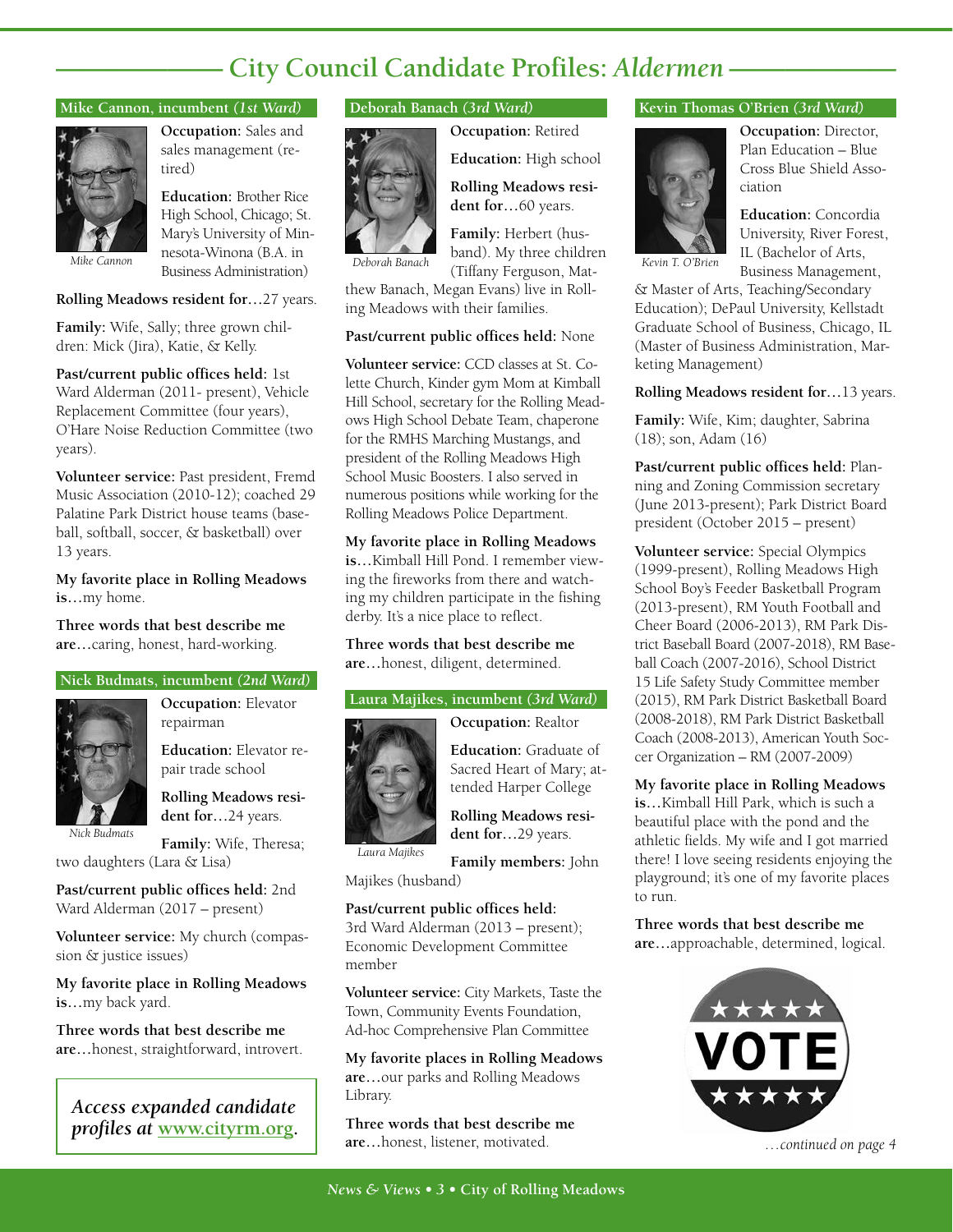# **—————— City Council Candidate Profiles:** *Aldermen* **——————**

#### **Mike Cannon, incumbent** *(1st Ward)*



**Occupation:** Sales and sales management (retired)

**Education:** Brother Rice High School, Chicago; St. Mary's University of Minnesota-Winona (B.A. in Business Administration)

#### **Rolling Meadows resident for…**27 years.

**Family:** Wife, Sally; three grown children: Mick (Jira), Katie, & Kelly.

**Past/current public offices held:** 1st Ward Alderman (2011- present), Vehicle Replacement Committee (four years), O'Hare Noise Reduction Committee (two years).

**Volunteer service:** Past president, Fremd Music Association (2010-12); coached 29 Palatine Park District house teams (baseball, softball, soccer, & basketball) over 13 years.

**My favorite place in Rolling Meadows is…**my home.

**Three words that best describe me are…**caring, honest, hard-working.

#### **Nick Budmats, incumbent** *(2nd Ward)*



**Occupation:** Elevator repairman

**Education:** Elevator repair trade school

**Rolling Meadows resident for…**24 years.

*Nick Budmats*

**Family:** Wife, Theresa;

two daughters (Lara & Lisa)

**Past/current public offices held:** 2nd Ward Alderman (2017 – present)

**Volunteer service:** My church (compassion & justice issues)

**My favorite place in Rolling Meadows is…**my back yard.

**Three words that best describe me are…**honest, straightforward, introvert.

*Access expanded candidate* 

#### **Deborah Banach** *(3rd Ward)*



**Occupation:** Retired **Education:** High school

**Rolling Meadows resident for…**60 years.

**Family:** Herbert (husband). My three children (Tiffany Ferguson, Mat-*Deborah Banach Kevin T. O'Brien*

thew Banach, Megan Evans) live in Rolling Meadows with their families.

#### **Past/current public offices held:** None

**Volunteer service:** CCD classes at St. Colette Church, Kinder gym Mom at Kimball Hill School, secretary for the Rolling Meadows High School Debate Team, chaperone for the RMHS Marching Mustangs, and president of the Rolling Meadows High School Music Boosters. I also served in numerous positions while working for the Rolling Meadows Police Department.

**My favorite place in Rolling Meadows is…**Kimball Hill Pond. I remember viewing the fireworks from there and watching my children participate in the fishing derby. It's a nice place to reflect.

**Three words that best describe me are…**honest, diligent, determined.

#### **Laura Majikes, incumbent** *(3rd Ward)*

**Occupation:** Realtor

**Education:** Graduate of Sacred Heart of Mary; attended Harper College

**Rolling Meadows resident for…**29 years.

**Family members:** John *Laura Majikes*

Majikes (husband)

**Past/current public offices held:** 3rd Ward Alderman (2013 – present); Economic Development Committee member

**Volunteer service:** City Markets, Taste the Town, Community Events Foundation, Ad-hoc Comprehensive Plan Committee

**My favorite places in Rolling Meadows are…**our parks and Rolling Meadows Library.

**Three words that best describe me are…**honest, listener, motivated. *profiles at* **[www.cityrm.org](http://www.cityrm.org).** *…continued on page 4*

### **Kevin Thomas O'Brien** *(3rd Ward)*



**Occupation:** Director, Plan Education – Blue Cross Blue Shield Association

**Education:** Concordia University, River Forest, IL (Bachelor of Arts, Business Management,

& Master of Arts, Teaching/Secondary Education); DePaul University, Kellstadt Graduate School of Business, Chicago, IL (Master of Business Administration, Marketing Management)

**Rolling Meadows resident for…**13 years.

**Family:** Wife, Kim; daughter, Sabrina (18); son, Adam (16)

**Past/current public offices held:** Planning and Zoning Commission secretary (June 2013-present); Park District Board president (October 2015 – present)

**Volunteer service:** Special Olympics (1999-present), Rolling Meadows High School Boy's Feeder Basketball Program (2013-present), RM Youth Football and Cheer Board (2006-2013), RM Park District Baseball Board (2007-2018), RM Baseball Coach (2007-2016), School District 15 Life Safety Study Committee member (2015), RM Park District Basketball Board (2008-2018), RM Park District Basketball Coach (2008-2013), American Youth Soccer Organization – RM (2007-2009)

**My favorite place in Rolling Meadows is…**Kimball Hill Park, which is such a beautiful place with the pond and the athletic fields. My wife and I got married there! I love seeing residents enjoying the playground; it's one of my favorite places to run.

**Three words that best describe me are…**approachable, determined, logical.

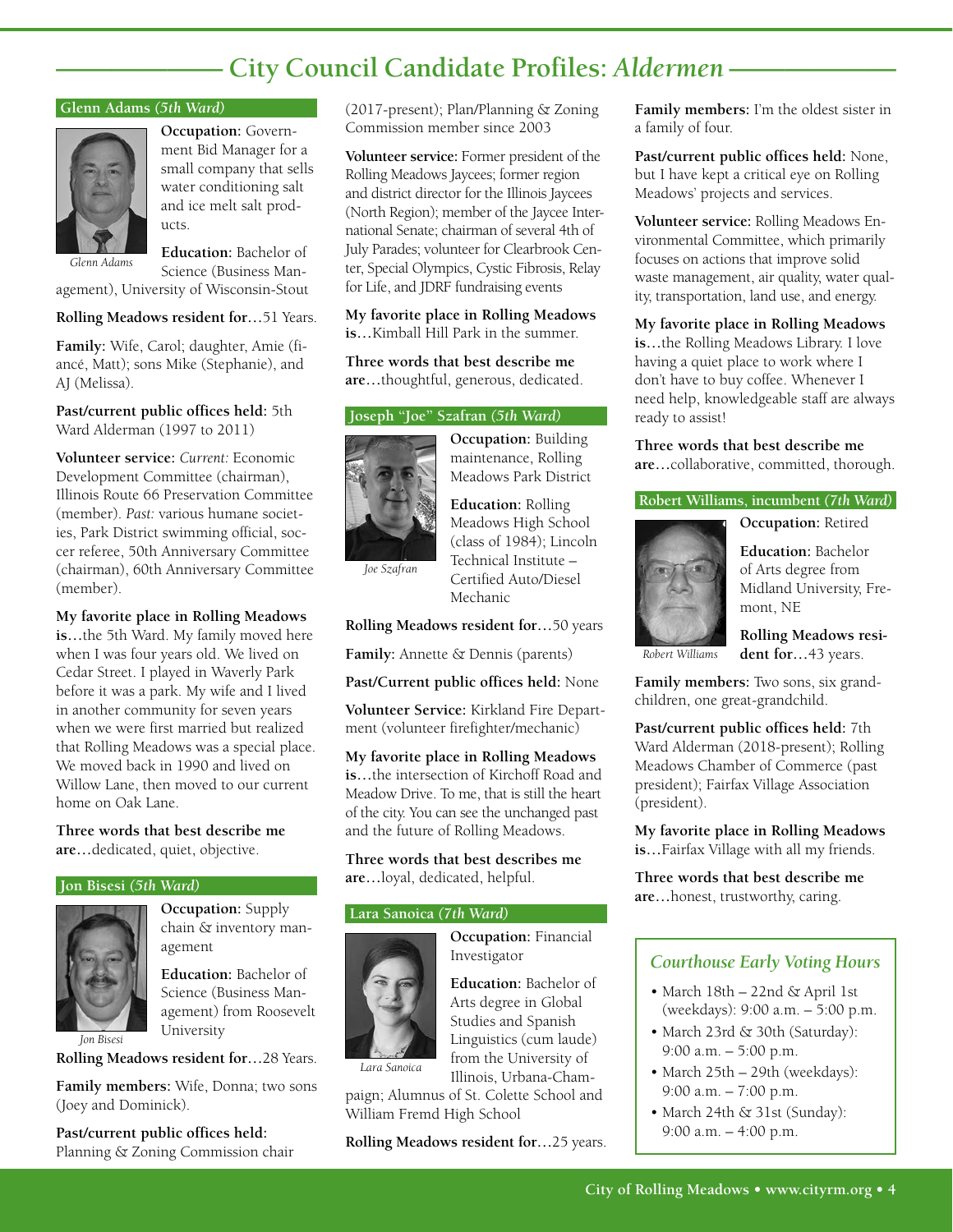# **—————— City Council Candidate Profiles:** *Aldermen* **——————**

#### **Glenn Adams** *(5th Ward)*



**Occupation:** Government Bid Manager for a small company that sells water conditioning salt and ice melt salt products.

**Education:** Bachelor of

*Glenn Adams*

Science (Business Management), University of Wisconsin-Stout

**Rolling Meadows resident for…**51 Years.

**Family:** Wife, Carol; daughter, Amie (fiancé, Matt); sons Mike (Stephanie), and AJ (Melissa).

**Past/current public offices held:** 5th Ward Alderman (1997 to 2011)

**Volunteer service:** *Current:* Economic Development Committee (chairman), Illinois Route 66 Preservation Committee (member). *Past:* various humane societies, Park District swimming official, soccer referee, 50th Anniversary Committee (chairman), 60th Anniversary Committee (member).

**My favorite place in Rolling Meadows is…**the 5th Ward. My family moved here when I was four years old. We lived on Cedar Street. I played in Waverly Park before it was a park. My wife and I lived in another community for seven years when we were first married but realized that Rolling Meadows was a special place. We moved back in 1990 and lived on Willow Lane, then moved to our current home on Oak Lane.

**Three words that best describe me are…**dedicated, quiet, objective.

#### **Jon Bisesi** *(5th Ward)*



*Jon Bisesi*

**Occupation:** Supply chain & inventory management

**Education:** Bachelor of Science (Business Management) from Roosevelt University

**Rolling Meadows resident for…**28 Years.

**Family members:** Wife, Donna; two sons (Joey and Dominick).

**Past/current public offices held:**  Planning & Zoning Commission chair (2017-present); Plan/Planning & Zoning Commission member since 2003

**Volunteer service:** Former president of the Rolling Meadows Jaycees; former region and district director for the Illinois Jaycees (North Region); member of the Jaycee International Senate; chairman of several 4th of July Parades; volunteer for Clearbrook Center, Special Olympics, Cystic Fibrosis, Relay for Life, and JDRF fundraising events

**My favorite place in Rolling Meadows is…**Kimball Hill Park in the summer.

**Three words that best describe me are…**thoughtful, generous, dedicated.

### **Joseph "Joe" Szafran** *(5th Ward)*



**Occupation:** Building maintenance, Rolling Meadows Park District

**Education:** Rolling Meadows High School (class of 1984); Lincoln

*Joe Szafran*

Technical Institute – Certified Auto/Diesel Mechanic

**Rolling Meadows resident for…**50 years

**Family:** Annette & Dennis (parents)

**Past/Current public offices held:** None

**Volunteer Service:** Kirkland Fire Department (volunteer firefighter/mechanic)

**My favorite place in Rolling Meadows is…**the intersection of Kirchoff Road and Meadow Drive. To me, that is still the heart of the city. You can see the unchanged past and the future of Rolling Meadows.

**Three words that best describes me are…**loyal, dedicated, helpful.

#### **Lara Sanoica** *(7th Ward)*



**Occupation:** Financial Investigator

**Education:** Bachelor of Arts degree in Global Studies and Spanish Linguistics (cum laude) from the University of Illinois, Urbana-Cham-

*Lara Sanoica*

paign; Alumnus of St. Colette School and William Fremd High School

**Rolling Meadows resident for…**25 years.

**Family members:** I'm the oldest sister in a family of four.

**Past/current public offices held:** None, but I have kept a critical eye on Rolling Meadows' projects and services.

**Volunteer service:** Rolling Meadows Environmental Committee, which primarily focuses on actions that improve solid waste management, air quality, water quality, transportation, land use, and energy.

**My favorite place in Rolling Meadows is…**the Rolling Meadows Library. I love having a quiet place to work where I don't have to buy coffee. Whenever I need help, knowledgeable staff are always ready to assist!

**Three words that best describe me are…**collaborative, committed, thorough.

#### **Robert Williams, incumbent** *(7th Ward)*

**Occupation:** Retired



**Education:** Bachelor of Arts degree from Midland University, Fremont, NE

**Rolling Meadows resident for…**43 years. *Robert Williams*

**Family members:** Two sons, six grandchildren, one great-grandchild.

**Past/current public offices held:** 7th Ward Alderman (2018-present); Rolling Meadows Chamber of Commerce (past president); Fairfax Village Association (president).

**My favorite place in Rolling Meadows is…**Fairfax Village with all my friends.

**Three words that best describe me are…**honest, trustworthy, caring.

### *Courthouse Early Voting Hours*

- March 18th 22nd & April 1st (weekdays): 9:00 a.m. – 5:00 p.m.
- March 23rd & 30th (Saturday): 9:00 a.m. – 5:00 p.m.
- March 25th 29th (weekdays): 9:00 a.m. – 7:00 p.m.
- March 24th & 31st (Sunday): 9:00 a.m. – 4:00 p.m.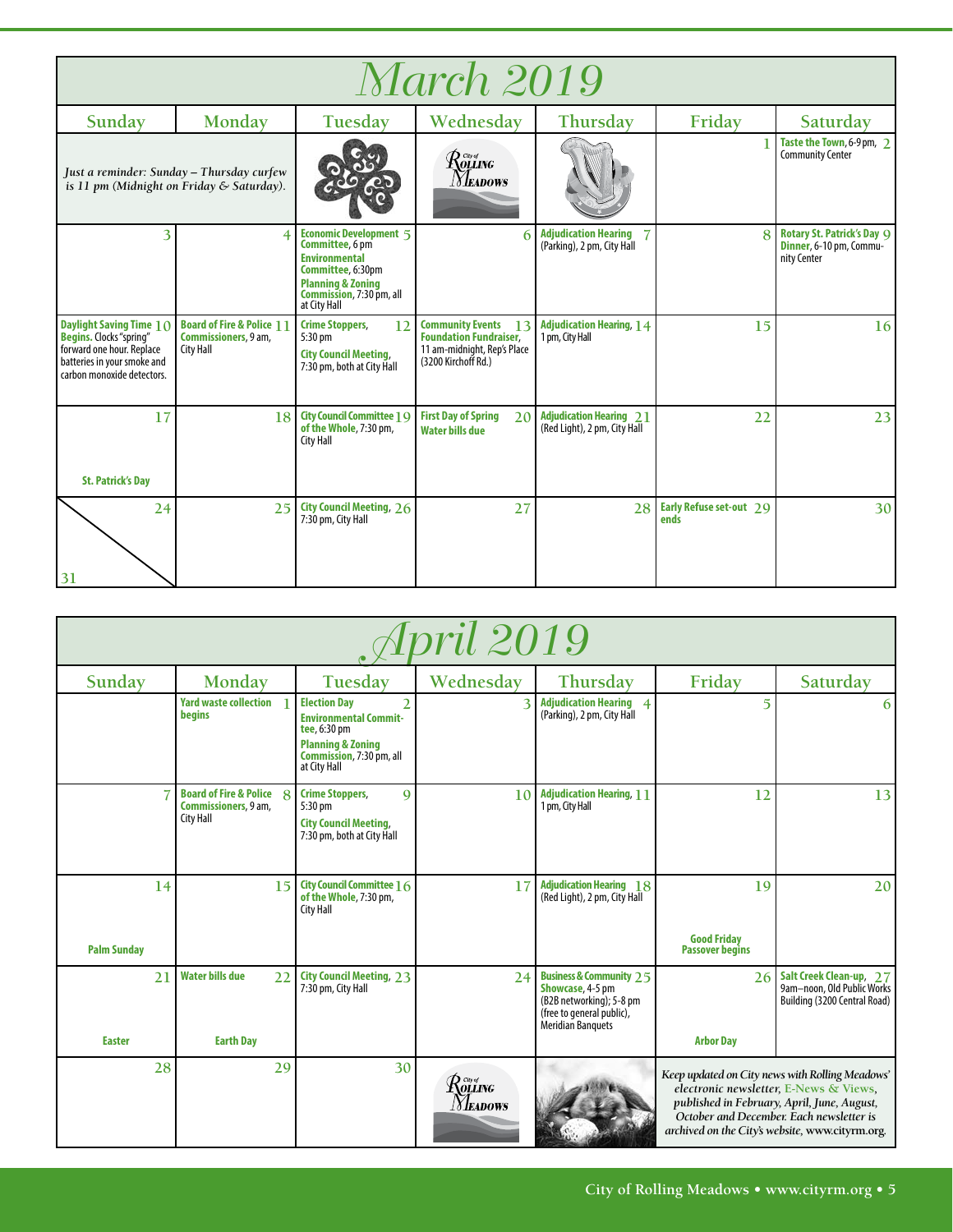| <i>March 2019</i>                                                                                                                                   |                                                                                        |                                                                                                                                                                           |                                                                                                                      |                                                                |                                 |                                                                             |  |
|-----------------------------------------------------------------------------------------------------------------------------------------------------|----------------------------------------------------------------------------------------|---------------------------------------------------------------------------------------------------------------------------------------------------------------------------|----------------------------------------------------------------------------------------------------------------------|----------------------------------------------------------------|---------------------------------|-----------------------------------------------------------------------------|--|
| Sunday                                                                                                                                              | Monday                                                                                 | Tuesday                                                                                                                                                                   | Wednesday                                                                                                            | Thursday                                                       | Friday                          | Saturday                                                                    |  |
|                                                                                                                                                     | Just a reminder: Sunday – Thursday curfew<br>is 11 pm (Midnight on Friday & Saturday). |                                                                                                                                                                           | $\mathcal{R}^{\tiny \textit{cwyf}}_{\tiny \textit{OLLING}}$<br><b>NEADOWS</b>                                        |                                                                |                                 | Taste the Town, 6-9 pm, 2<br><b>Community Center</b>                        |  |
| 3                                                                                                                                                   | $\overline{4}$                                                                         | <b>Economic Development 5</b><br>Committee, 6 pm<br><b>Environmental</b><br>Committee, 6:30pm<br><b>Planning &amp; Zoning</b><br>Commission, 7:30 pm, all<br>at City Hall | 6                                                                                                                    | <b>Adjudication Hearing</b><br>(Parking), 2 pm, City Hall      | $\overline{8}$                  | <b>Rotary St. Patrick's Day Q</b><br>Dinner, 6-10 pm, Commu-<br>nity Center |  |
| Daylight Saving Time 10<br><b>Begins.</b> Clocks "spring"<br>forward one hour. Replace<br>batteries in your smoke and<br>carbon monoxide detectors. | <b>Board of Fire &amp; Police 11</b><br>Commissioners, 9 am,<br><b>City Hall</b>       | <b>Crime Stoppers,</b><br>12<br>$5:30$ pm<br><b>City Council Meeting,</b><br>7:30 pm, both at City Hall                                                                   | <b>Community Events</b><br>13<br><b>Foundation Fundraiser,</b><br>11 am-midnight, Rep's Place<br>(3200 Kirchoff Rd.) | <b>Adjudication Hearing, 14</b><br>1 pm, City Hall             | 15                              | 16                                                                          |  |
| 17<br><b>St. Patrick's Day</b>                                                                                                                      | 18                                                                                     | <b>City Council Committee 1 Q</b><br>of the Whole, 7:30 pm,<br><b>City Hall</b>                                                                                           | <b>First Day of Spring</b><br>20<br><b>Water bills due</b>                                                           | <b>Adjudication Hearing 21</b><br>(Red Light), 2 pm, City Hall | 22                              | 23                                                                          |  |
| 24<br>31                                                                                                                                            | 25                                                                                     | <b>City Council Meeting, 26</b><br>7:30 pm, City Hall                                                                                                                     | 27                                                                                                                   | 28                                                             | Early Refuse set-out 29<br>ends | 30                                                                          |  |

| April 2019         |                                                                                 |                                                                                                                                                                   |                                                                                                                                  |                                                                                                                                              |                                                                                                                                                                                                                                         |                                                                                       |  |
|--------------------|---------------------------------------------------------------------------------|-------------------------------------------------------------------------------------------------------------------------------------------------------------------|----------------------------------------------------------------------------------------------------------------------------------|----------------------------------------------------------------------------------------------------------------------------------------------|-----------------------------------------------------------------------------------------------------------------------------------------------------------------------------------------------------------------------------------------|---------------------------------------------------------------------------------------|--|
| Sunday             | Monday                                                                          | Tuesday                                                                                                                                                           | Wednesday                                                                                                                        | Thursday                                                                                                                                     | Friday                                                                                                                                                                                                                                  | Saturday                                                                              |  |
|                    | <b>Yard waste collection</b><br>begins                                          | <b>Election Day</b><br>$\mathfrak{D}$<br><b>Environmental Commit-</b><br>tee, 6:30 pm<br><b>Planning &amp; Zoning</b><br>Commission, 7:30 pm, all<br>at City Hall |                                                                                                                                  | <b>Adjudication Hearing 4</b><br>(Parking), 2 pm, City Hall                                                                                  | $\overline{5}$                                                                                                                                                                                                                          | 6                                                                                     |  |
|                    | <b>Board of Fire &amp; Police 8</b><br>Commissioners, 9 am,<br><b>City Hall</b> | <b>Crime Stoppers,</b><br>$\mathbf Q$<br>5:30 pm<br><b>City Council Meeting,</b><br>7:30 pm, both at City Hall                                                    | 10                                                                                                                               | <b>Adjudication Hearing, 11</b><br>1 pm, City Hall                                                                                           | 12                                                                                                                                                                                                                                      | 13                                                                                    |  |
| 14                 | 15                                                                              | <b>City Council Committee 16</b><br>of the Whole, 7:30 pm,<br><b>City Hall</b>                                                                                    | 17                                                                                                                               | <b>Adjudication Hearing 18</b><br>(Red Light), 2 pm, City Hall                                                                               | 19<br><b>Good Fridav</b>                                                                                                                                                                                                                | 20                                                                                    |  |
| <b>Palm Sunday</b> |                                                                                 |                                                                                                                                                                   |                                                                                                                                  |                                                                                                                                              | <b>Passover begins</b>                                                                                                                                                                                                                  |                                                                                       |  |
| 21                 | <b>Water bills due</b><br>22                                                    | <b>City Council Meeting, 23</b><br>7:30 pm, City Hall                                                                                                             | 24                                                                                                                               | <b>Business &amp; Community 2.5</b><br>Showcase, 4-5 pm<br>(B2B networking); 5-8 pm<br>(free to general public),<br><b>Meridian Banquets</b> | 26                                                                                                                                                                                                                                      | Salt Creek Clean-up, 27<br>9am-noon, Old Public Works<br>Building (3200 Central Road) |  |
| <b>Easter</b>      | <b>Earth Day</b>                                                                |                                                                                                                                                                   |                                                                                                                                  |                                                                                                                                              | <b>Arbor Day</b>                                                                                                                                                                                                                        |                                                                                       |  |
| 28                 | 29                                                                              | 30                                                                                                                                                                | $\mathcal{R}^{\tiny{{\scriptscriptstyle{{G\!O{\hspace{0.05cm}}}}}}\sigma}_{\scriptscriptstyle{{\rm{OLLING}}}}$<br><i>Neadows</i> |                                                                                                                                              | Keep updated on City news with Rolling Meadows'<br>electronic newsletter, E-News & Views,<br>published in February, April, June, August,<br>October and December. Each newsletter is<br>archived on the City's website, www.cityrm.org. |                                                                                       |  |